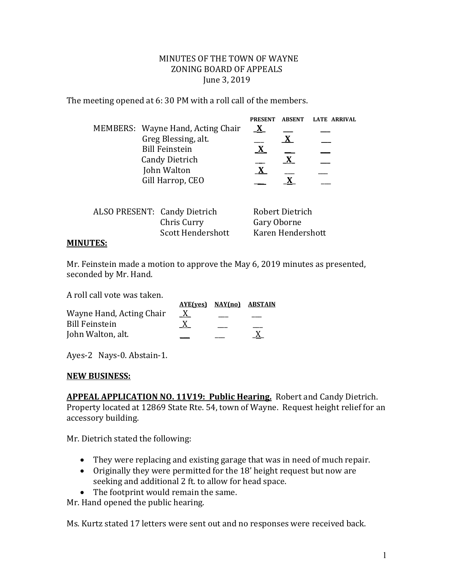## MINUTES OF THE TOWN OF WAYNE ZONING BOARD OF APPEALS June 3, 2019

The meeting opened at 6: 30 PM with a roll call of the members.

|                       |             |                                   | <b>PRESENT</b> | <b>ABSENT</b>   | <b>LATE ARRIVAL</b> |
|-----------------------|-------------|-----------------------------------|----------------|-----------------|---------------------|
|                       |             | MEMBERS: Wayne Hand, Acting Chair | $\mathbf{X}$   |                 |                     |
|                       |             | Greg Blessing, alt.               |                |                 |                     |
|                       |             | <b>Bill Feinstein</b>             | $\mathbf{X}$   |                 |                     |
| <b>Candy Dietrich</b> |             |                                   | X              |                 |                     |
|                       | John Walton |                                   | $\mathbf{X}$   |                 |                     |
| Gill Harrop, CEO      |             |                                   |                |                 |                     |
|                       |             |                                   |                |                 |                     |
|                       |             | ALSO PRESENT: Candy Dietrich      |                | Robert Dietrich |                     |
|                       |             | Chris Curry                       |                | Gary Oborne     |                     |

Scott Hendershott Karen Hendershott

## **MINUTES:**

Mr. Feinstein made a motion to approve the May 6, 2019 minutes as presented, seconded by Mr. Hand.

A roll call vote was taken.

|                          |          | AYE(ves) NAY(no) ABSTAIN |  |
|--------------------------|----------|--------------------------|--|
| Wayne Hand, Acting Chair | <u>X</u> |                          |  |
| <b>Bill Feinstein</b>    | X        |                          |  |
| John Walton, alt.        |          |                          |  |

Ayes-2 Nays-0. Abstain-1.

## **NEW BUSINESS:**

**APPEAL APPLICATION NO. 11V19: Public Hearing.** Robert and Candy Dietrich. Property located at 12869 State Rte. 54, town of Wayne. Request height relief for an accessory building.

Mr. Dietrich stated the following:

- They were replacing and existing garage that was in need of much repair.
- Originally they were permitted for the 18' height request but now are seeking and additional 2 ft. to allow for head space.
- The footprint would remain the same.

Mr. Hand opened the public hearing.

Ms. Kurtz stated 17 letters were sent out and no responses were received back.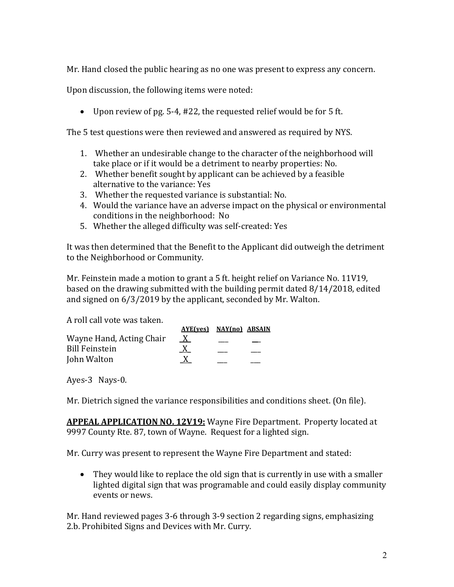Mr. Hand closed the public hearing as no one was present to express any concern.

Upon discussion, the following items were noted:

Upon review of pg. 5-4, #22, the requested relief would be for 5 ft.

The 5 test questions were then reviewed and answered as required by NYS.

- 1. Whether an undesirable change to the character of the neighborhood will take place or if it would be a detriment to nearby properties: No.
- 2. Whether benefit sought by applicant can be achieved by a feasible alternative to the variance: Yes
- 3. Whether the requested variance is substantial: No.
- 4. Would the variance have an adverse impact on the physical or environmental conditions in the neighborhood: No
- 5. Whether the alleged difficulty was self-created: Yes

It was then determined that the Benefit to the Applicant did outweigh the detriment to the Neighborhood or Community.

Mr. Feinstein made a motion to grant a 5 ft. height relief on Variance No. 11V19, based on the drawing submitted with the building permit dated 8/14/2018, edited and signed on 6/3/2019 by the applicant, seconded by Mr. Walton.

A roll call vote was taken.

| $\mathbf{X}$ |                         |
|--------------|-------------------------|
|              |                         |
|              |                         |
|              | AYE(ves) NAY(no) ABSAIN |

Ayes-3 Nays-0.

Mr. Dietrich signed the variance responsibilities and conditions sheet. (On file).

**APPEAL APPLICATION NO. 12V19:** Wayne Fire Department. Property located at 9997 County Rte. 87, town of Wayne. Request for a lighted sign.

Mr. Curry was present to represent the Wayne Fire Department and stated:

• They would like to replace the old sign that is currently in use with a smaller lighted digital sign that was programable and could easily display community events or news.

Mr. Hand reviewed pages 3-6 through 3-9 section 2 regarding signs, emphasizing 2.b. Prohibited Signs and Devices with Mr. Curry.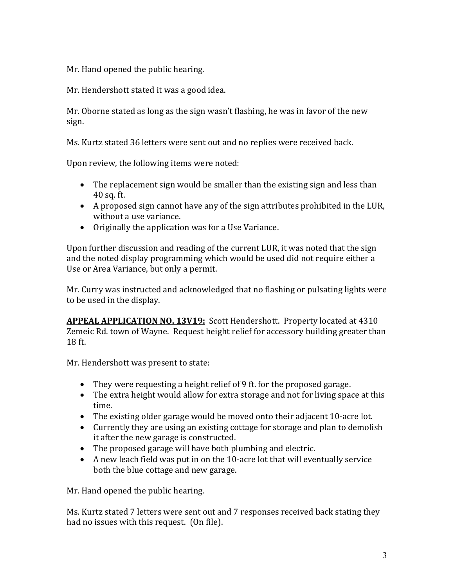Mr. Hand opened the public hearing.

Mr. Hendershott stated it was a good idea.

Mr. Oborne stated as long as the sign wasn't flashing, he was in favor of the new sign.

Ms. Kurtz stated 36 letters were sent out and no replies were received back.

Upon review, the following items were noted:

- The replacement sign would be smaller than the existing sign and less than 40 sq. ft.
- A proposed sign cannot have any of the sign attributes prohibited in the LUR, without a use variance.
- Originally the application was for a Use Variance.

Upon further discussion and reading of the current LUR, it was noted that the sign and the noted display programming which would be used did not require either a Use or Area Variance, but only a permit.

Mr. Curry was instructed and acknowledged that no flashing or pulsating lights were to be used in the display.

**APPEAL APPLICATION NO. 13V19:** Scott Hendershott. Property located at 4310 Zemeic Rd. town of Wayne. Request height relief for accessory building greater than 18 ft.

Mr. Hendershott was present to state:

- They were requesting a height relief of 9 ft. for the proposed garage.
- The extra height would allow for extra storage and not for living space at this time.
- The existing older garage would be moved onto their adjacent 10-acre lot.
- Currently they are using an existing cottage for storage and plan to demolish it after the new garage is constructed.
- The proposed garage will have both plumbing and electric.
- A new leach field was put in on the 10-acre lot that will eventually service both the blue cottage and new garage.

Mr. Hand opened the public hearing.

Ms. Kurtz stated 7 letters were sent out and 7 responses received back stating they had no issues with this request. (On file).